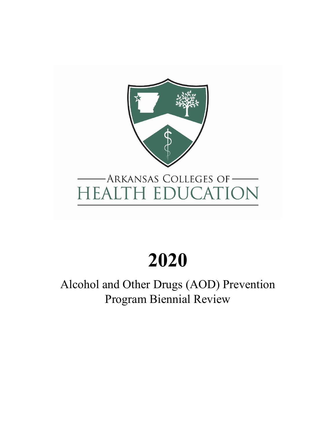

# **2020**

Alcohol and Other Drugs (AOD) Prevention Program Biennial Review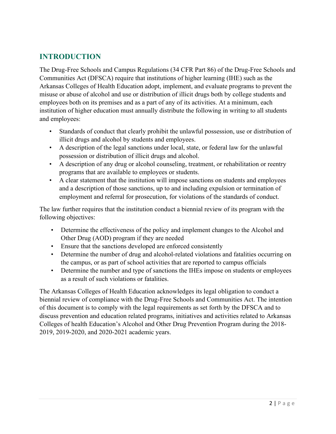## **INTRODUCTION**

The Drug-Free Schools and Campus Regulations (34 CFR Part 86) of the Drug-Free Schools and Communities Act (DFSCA) require that institutions of higher learning (IHE) such as the Arkansas Colleges of Health Education adopt, implement, and evaluate programs to prevent the misuse or abuse of alcohol and use or distribution of illicit drugs both by college students and employees both on its premises and as a part of any of its activities. At a minimum, each institution of higher education must annually distribute the following in writing to all students and employees:

- Standards of conduct that clearly prohibit the unlawful possession, use or distribution of illicit drugs and alcohol by students and employees.
- A description of the legal sanctions under local, state, or federal law for the unlawful possession or distribution of illicit drugs and alcohol.
- A description of any drug or alcohol counseling, treatment, or rehabilitation or reentry programs that are available to employees or students.
- A clear statement that the institution will impose sanctions on students and employees and a description of those sanctions, up to and including expulsion or termination of employment and referral for prosecution, for violations of the standards of conduct.

The law further requires that the institution conduct a biennial review of its program with the following objectives:

- Determine the effectiveness of the policy and implement changes to the Alcohol and Other Drug (AOD) program if they are needed
- Ensure that the sanctions developed are enforced consistently
- Determine the number of drug and alcohol-related violations and fatalities occurring on the campus, or as part of school activities that are reported to campus officials
- Determine the number and type of sanctions the IHEs impose on students or employees as a result of such violations or fatalities.

The Arkansas Colleges of Health Education acknowledges its legal obligation to conduct a biennial review of compliance with the Drug-Free Schools and Communities Act. The intention of this document is to comply with the legal requirements as set forth by the DFSCA and to discuss prevention and education related programs, initiatives and activities related to Arkansas Colleges of health Education's Alcohol and Other Drug Prevention Program during the 2018- 2019, 2019-2020, and 2020-2021 academic years.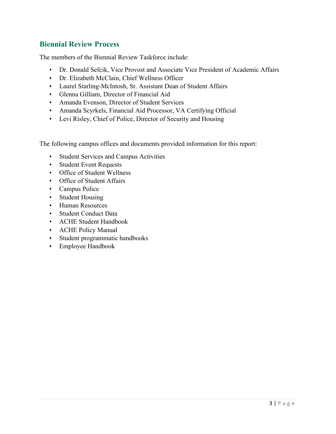## **Biennial Review Process**

The members of the Biennial Review Taskforce include:

- Dr. Donald Sefcik, Vice Provost and Associate Vice President of Academic Affairs
- Dr. Elizabeth McClain, Chief Wellness Officer
- Laurel Starling-McIntosh, Sr. Assistant Dean of Student Affairs
- Glenna Gilliam, Director of Financial Aid
- Amanda Evenson, Director of Student Services
- Amanda Scyrkels, Financial Aid Processor, VA Certifying Official
- Levi Risley, Chief of Police, Director of Security and Housing

The following campus offices and documents provided information for this report:

- Student Services and Campus Activities
- Student Event Requests
- Office of Student Wellness
- Office of Student Affairs
- Campus Police
- Student Housing
- Human Resources
- Student Conduct Data
- ACHE Student Handbook
- ACHE Policy Manual
- Student programmatic handbooks
- Employee Handbook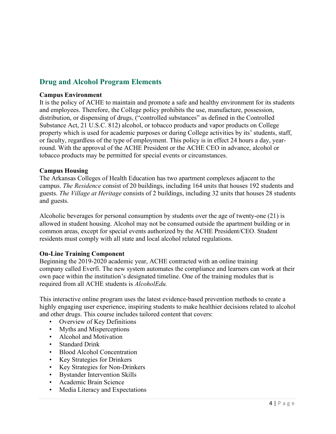## **Drug and Alcohol Program Elements**

#### **Campus Environment**

It is the policy of ACHE to maintain and promote a safe and healthy environment for its students and employees. Therefore, the College policy prohibits the use, manufacture, possession, distribution, or dispensing of drugs, ("controlled substances" as defined in the Controlled Substance Act, 21 U.S.C. 812) alcohol, or tobacco products and vapor products on College property which is used for academic purposes or during College activities by its' students, staff, or faculty, regardless of the type of employment. This policy is in effect 24 hours a day, yearround. With the approval of the ACHE President or the ACHE CEO in advance, alcohol or tobacco products may be permitted for special events or circumstances.

#### **Campus Housing**

The Arkansas Colleges of Health Education has two apartment complexes adjacent to the campus. *The Residence* consist of 20 buildings, including 164 units that houses 192 students and guests. *The Village at Heritage* consists of 2 buildings, including 32 units that houses 28 students and guests.

Alcoholic beverages for personal consumption by students over the age of twenty-one (21) is allowed in student housing. Alcohol may not be consumed outside the apartment building or in common areas, except for special events authorized by the ACHE President/CEO. Student residents must comply with all state and local alcohol related regulations.

#### **On-Line Training Component**

Beginning the 2019-2020 academic year, ACHE contracted with an online training company called Everfi. The new system automates the compliance and learners can work at their own pace within the institution's designated timeline. One of the training modules that is required from all ACHE students is *AlcoholEdu.*

This interactive online program uses the latest evidence-based prevention methods to create a highly engaging user experience, inspiring students to make healthier decisions related to alcohol and other drugs. This course includes tailored content that covers:

- Overview of Key Definitions
- Myths and Misperceptions
- Alcohol and Motivation
- Standard Drink
- Blood Alcohol Concentration
- Key Strategies for Drinkers
- Key Strategies for Non-Drinkers
- Bystander Intervention Skills
- Academic Brain Science
- Media Literacy and Expectations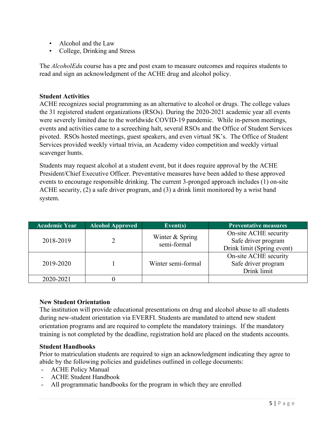- Alcohol and the Law
- College, Drinking and Stress

The *AlcoholEdu* course has a pre and post exam to measure outcomes and requires students to read and sign an acknowledgment of the ACHE drug and alcohol policy.

#### **Student Activities**

ACHE recognizes social programming as an alternative to alcohol or drugs. The college values the 31 registered student organizations (RSOs). During the 2020-2021 academic year all events were severely limited due to the worldwide COVID-19 pandemic. While in-person meetings, events and activities came to a screeching halt, several RSOs and the Office of Student Services pivoted. RSOs hosted meetings, guest speakers, and even virtual 5K's. The Office of Student Services provided weekly virtual trivia, an Academy video competition and weekly virtual scavenger hunts.

Students may request alcohol at a student event, but it does require approval by the ACHE President/Chief Executive Officer. Preventative measures have been added to these approved events to encourage responsible drinking. The current 3-pronged approach includes (1) on-site ACHE security, (2) a safe driver program, and (3) a drink limit monitored by a wrist band system.

| <b>Academic Year</b> | <b>Alcohol Approved</b> | Event $(s)$                    | <b>Preventative measures</b> |
|----------------------|-------------------------|--------------------------------|------------------------------|
| 2018-2019            |                         | Winter & Spring<br>semi-formal | On-site ACHE security        |
|                      |                         |                                | Safe driver program          |
|                      |                         |                                | Drink limit (Spring event)   |
| 2019-2020            |                         | Winter semi-formal             | On-site ACHE security        |
|                      |                         |                                | Safe driver program          |
|                      |                         |                                | Drink limit                  |
| 2020-2021            |                         |                                |                              |

#### **New Student Orientation**

The institution will provide educational presentations on drug and alcohol abuse to all students during new-student orientation via EVERFI. Students are mandated to attend new student orientation programs and are required to complete the mandatory trainings. If the mandatory training is not completed by the deadline, registration hold are placed on the students accounts.

#### **Student Handbooks**

Prior to matriculation students are required to sign an acknowledgment indicating they agree to abide by the following policies and guidelines outlined in college documents:

- ACHE Policy Manual
- ACHE Student Handbook
- All programmatic handbooks for the program in which they are enrolled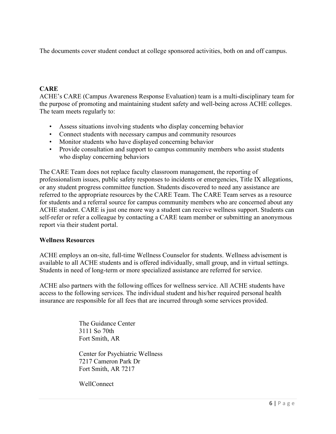The documents cover student conduct at college sponsored activities, both on and off campus.

## **CARE**

ACHE's CARE (Campus Awareness Response Evaluation) team is a multi-disciplinary team for the purpose of promoting and maintaining student safety and well-being across ACHE colleges. The team meets regularly to:

- Assess situations involving students who display concerning behavior
- Connect students with necessary campus and community resources
- Monitor students who have displayed concerning behavior
- Provide consultation and support to campus community members who assist students who display concerning behaviors

The CARE Team does not replace faculty classroom management, the reporting of professionalism issues, public safety responses to incidents or emergencies, Title IX allegations, or any student progress committee function. Students discovered to need any assistance are referred to the appropriate resources by the CARE Team. The CARE Team serves as a resource for students and a referral source for campus community members who are concerned about any ACHE student. CARE is just one more way a student can receive wellness support. Students can self-refer or refer a colleague by contacting a CARE team member or submitting an anonymous report via their student portal.

#### **Wellness Resources**

ACHE employs an on-site, full-time Wellness Counselor for students. Wellness advisement is available to all ACHE students and is offered individually, small group, and in virtual settings. Students in need of long-term or more specialized assistance are referred for service.

ACHE also partners with the following offices for wellness service. All ACHE students have access to the following services. The individual student and his/her required personal health insurance are responsible for all fees that are incurred through some services provided.

> The Guidance Center 3111 So 70th Fort Smith, AR

Center for Psychiatric Wellness 7217 Cameron Park Dr Fort Smith, AR 7217

WellConnect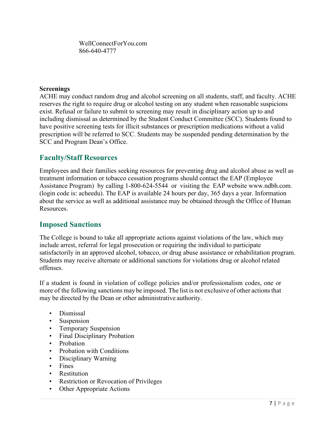WellConnectForYou.com 866-640-4777

#### **Screenings**

ACHE may conduct random drug and alcohol screening on all students, staff, and faculty. ACHE reserves the right to require drug or alcohol testing on any student when reasonable suspicions exist. Refusal or failure to submit to screening may result in disciplinary action up to and including dismissal as determined by the Student Conduct Committee (SCC). Students found to have positive screening tests for illicit substances or prescription medications without a valid prescription will be referred to SCC. Students may be suspended pending determination by the SCC and Program Dean's Office.

#### **Faculty/Staff Resources**

Employees and their families seeking resources for preventing drug and alcohol abuse as well as treatment information or tobacco cessation programs should contact the EAP (Employee Assistance Program) by calling 1-800-624-5544 or visiting the EAP website [www.ndbh.com.](http://www.ndbh.com/) (login code is: acheedu). The EAP is available 24 hours per day, 365 days a year. Information about the service as well as additional assistance may be obtained through the Office of Human Resources.

#### **Imposed Sanctions**

The College is bound to take all appropriate actions against violations of the law, which may include arrest, referral for legal prosecution or requiring the individual to participate satisfactorily in an approved alcohol, tobacco, or drug abuse assistance or rehabilitation program. Students may receive alternate or additional sanctions for violations drug or alcohol related offenses.

If a student is found in violation of college policies and/or professionalism codes, one or more of the following sanctions may be imposed. The list is not exclusive of other actions that may be directed by the Dean or other administrative authority.

- Dismissal
- **Suspension**
- Temporary Suspension
- Final Disciplinary Probation
- Probation
- Probation with Conditions
- Disciplinary Warning
- Fines
- Restitution
- Restriction or Revocation of Privileges
- Other Appropriate Actions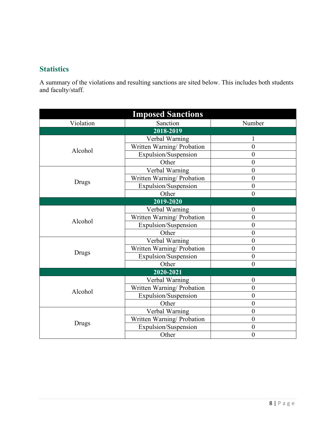## **Statistics**

A summary of the violations and resulting sanctions are sited below. This includes both students and faculty/staff.

| <b>Imposed Sanctions</b> |                            |                  |  |  |  |
|--------------------------|----------------------------|------------------|--|--|--|
| Violation                | Sanction                   | Number           |  |  |  |
| $2018 - 2019$            |                            |                  |  |  |  |
|                          | Verbal Warning             |                  |  |  |  |
| Alcohol                  | Written Warning/ Probation | $\boldsymbol{0}$ |  |  |  |
|                          | Expulsion/Suspension       | $\overline{0}$   |  |  |  |
|                          | Other                      | $\boldsymbol{0}$ |  |  |  |
|                          | Verbal Warning             | $\boldsymbol{0}$ |  |  |  |
| Drugs                    | Written Warning/ Probation | $\boldsymbol{0}$ |  |  |  |
|                          | Expulsion/Suspension       | $\overline{0}$   |  |  |  |
|                          | Other                      | $\overline{0}$   |  |  |  |
| 2019-2020                |                            |                  |  |  |  |
|                          | Verbal Warning             | $\overline{0}$   |  |  |  |
| Alcohol                  | Written Warning/ Probation | $\overline{0}$   |  |  |  |
|                          | Expulsion/Suspension       | $\overline{0}$   |  |  |  |
|                          | Other                      | $\boldsymbol{0}$ |  |  |  |
|                          | Verbal Warning             | $\boldsymbol{0}$ |  |  |  |
| Drugs                    | Written Warning/ Probation | $\boldsymbol{0}$ |  |  |  |
|                          | Expulsion/Suspension       | $\boldsymbol{0}$ |  |  |  |
|                          | Other                      | $\overline{0}$   |  |  |  |
| 2020-2021                |                            |                  |  |  |  |
|                          | Verbal Warning             | $\boldsymbol{0}$ |  |  |  |
| Alcohol                  | Written Warning/ Probation | $\boldsymbol{0}$ |  |  |  |
|                          | Expulsion/Suspension       | $\overline{0}$   |  |  |  |
|                          | Other                      | $\boldsymbol{0}$ |  |  |  |
|                          | Verbal Warning             | $\boldsymbol{0}$ |  |  |  |
| Drugs                    | Written Warning/ Probation | $\mathbf{0}$     |  |  |  |
|                          | Expulsion/Suspension       | $\mathbf{0}$     |  |  |  |
|                          | Other                      | $\boldsymbol{0}$ |  |  |  |